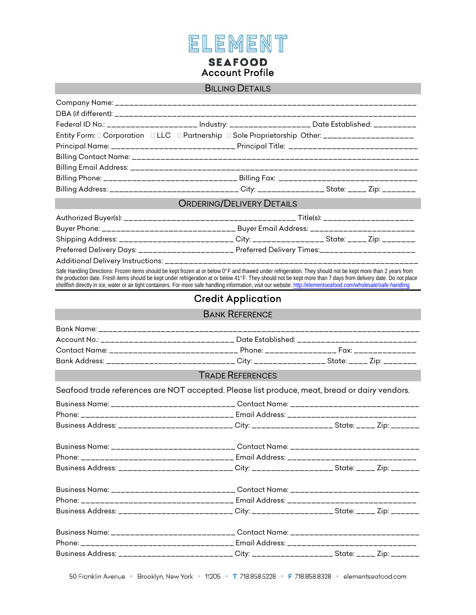

#### BILLING DETAILS

| Federal ID No.: ____________________ Industry: _________________ Date Established: _________     |  |
|--------------------------------------------------------------------------------------------------|--|
| Entity Form: 0 Corporation 0 LLC 0 Partnership 0 Sole Proprietorship Other: ____________________ |  |
|                                                                                                  |  |
|                                                                                                  |  |
|                                                                                                  |  |
|                                                                                                  |  |
| Billing Address: ___________________________City: ___________State: _____ Zip: _______           |  |
| CONFIDENCIATION DETAILS                                                                          |  |

#### ORDERING/DELIVERY DETAILS

|                                                                                                 | Buyer Phone: _________________________________ Buyer Email Address: _________________________ |  |  |  |
|-------------------------------------------------------------------------------------------------|-----------------------------------------------------------------------------------------------|--|--|--|
| Shipping Address: ___________________________City: __________________State: _____ Zip: ________ |                                                                                               |  |  |  |
| Preferred Delivery Days: _______________________Preferred Delivery Times:____________________   |                                                                                               |  |  |  |
|                                                                                                 |                                                                                               |  |  |  |
|                                                                                                 |                                                                                               |  |  |  |

Safe Handling Directions: Frozen items should be kept frozen at or below 0°F and thawed under refrigeration. They should not be kept more than 2 years from the production date. Fresh items should be kept under refrigeration at or below 41°F. They should not be kept more than 7 days from delivery date. Do not place shellfish directly in ice, water or air tight containers. For more safe handling information, visit our website: http://elementseafood.com/wholesale/safe-handling

## Credit Application

### BANK REFERENCE

| Account No.: Account No.: Account No.: Account No.: Account No.: Account No.: Account No.: Account N | Date Established: ____________________________ |  |
|------------------------------------------------------------------------------------------------------|------------------------------------------------|--|
|                                                                                                      |                                                |  |
| Bank Address: _______________________________ City: ____________________ State: _____ Zip: ________  |                                                |  |

### TRADE REFERENCES

Seafood trade references are NOT accepted. Please list produce, meat, bread or dairy vendors.

| Business Name: ________________________________ Contact Name: _______________________________     |  |  |
|---------------------------------------------------------------------------------------------------|--|--|
|                                                                                                   |  |  |
| Business Address: __________________________City: ___________________State: _____ Zip: _______    |  |  |
| Business Name: _______________________________ Contact Name: ________________________________     |  |  |
|                                                                                                   |  |  |
| Business Address: __________________________City: ___________________State: _____ Zip: _______    |  |  |
| Business Name: _______________________________ Contact Name: _______________________________      |  |  |
|                                                                                                   |  |  |
| Business Address: __________________________City: ____________________State: _____ Zip: _______   |  |  |
|                                                                                                   |  |  |
|                                                                                                   |  |  |
| Business Address: __________________________ City: ____________________ State: _____ Zip: _______ |  |  |

50 Franklin Avenue Brooklyn, New York 11205 T 718.858.5228 F 718.858.8328 elementseafood.com